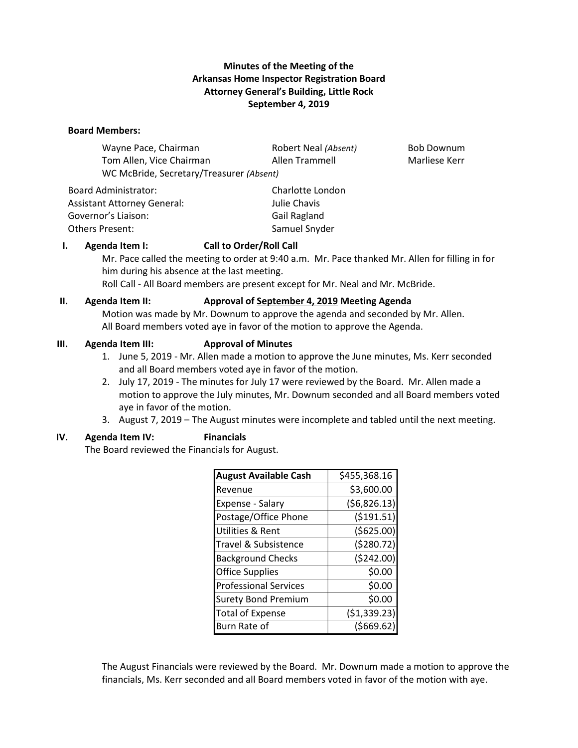## **Minutes of the Meeting of the Arkansas Home Inspector Registration Board Attorney General's Building, Little Rock September 4, 2019**

#### **Board Members:**

Wayne Pace, Chairman **Robert Neal** *(Absent)* Bob Downum Tom Allen, Vice Chairman Allen Trammell Marliese Kerr WC McBride, Secretary/Treasurer *(Absent)*

| <b>Board Administrator:</b>        |
|------------------------------------|
| <b>Assistant Attorney General:</b> |
| Governor's Liaison:                |
| <b>Others Present:</b>             |

Charlotte London Julie Chavis Gail Ragland Samuel Snyder

#### **I. Agenda Item I: Call to Order/Roll Call**

Mr. Pace called the meeting to order at 9:40 a.m. Mr. Pace thanked Mr. Allen for filling in for him during his absence at the last meeting.

Roll Call - All Board members are present except for Mr. Neal and Mr. McBride.

#### **II. Agenda Item II: Approval of September 4, 2019 Meeting Agenda**

Motion was made by Mr. Downum to approve the agenda and seconded by Mr. Allen. All Board members voted aye in favor of the motion to approve the Agenda.

#### **III. Agenda Item III: Approval of Minutes**

- 1. June 5, 2019 Mr. Allen made a motion to approve the June minutes, Ms. Kerr seconded and all Board members voted aye in favor of the motion.
- 2. July 17, 2019 The minutes for July 17 were reviewed by the Board. Mr. Allen made a motion to approve the July minutes, Mr. Downum seconded and all Board members voted aye in favor of the motion.
- 3. August 7, 2019 The August minutes were incomplete and tabled until the next meeting.

## **IV. Agenda Item IV: Financials**

The Board reviewed the Financials for August.

| <b>August Available Cash</b> | \$455,368.16  |
|------------------------------|---------------|
| Revenue                      | \$3,600.00    |
| Expense - Salary             | (56,826.13)   |
| Postage/Office Phone         | ( \$191.51)   |
| <b>Utilities &amp; Rent</b>  | ( \$625.00)   |
| Travel & Subsistence         | (5280.72)     |
| <b>Background Checks</b>     | (\$242.00)    |
| <b>Office Supplies</b>       | \$0.00        |
| <b>Professional Services</b> | \$0.00        |
| <b>Surety Bond Premium</b>   | \$0.00        |
| <b>Total of Expense</b>      | ( \$1,339.23) |
| Burn Rate of                 | (5669.62)     |

The August Financials were reviewed by the Board. Mr. Downum made a motion to approve the financials, Ms. Kerr seconded and all Board members voted in favor of the motion with aye.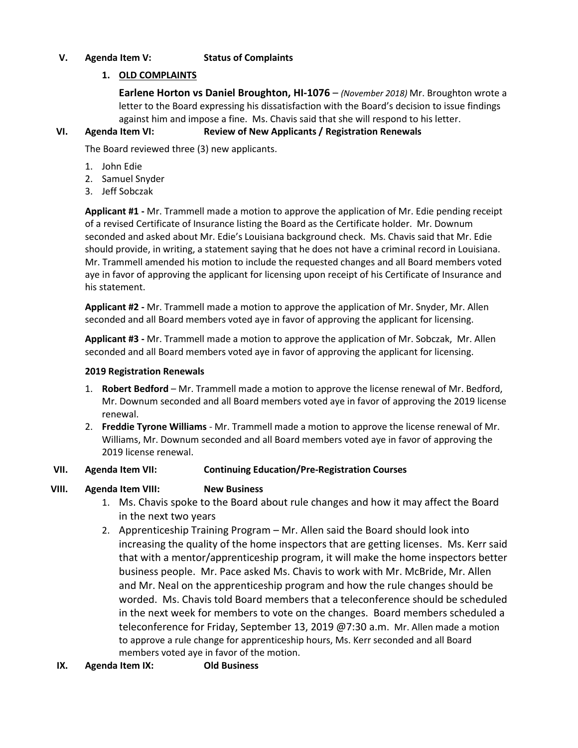# **V. Agenda Item V: Status of Complaints**

# **1. OLD COMPLAINTS**

**Earlene Horton vs Daniel Broughton, HI-1076** – *(November 2018)* Mr. Broughton wrote a letter to the Board expressing his dissatisfaction with the Board's decision to issue findings against him and impose a fine. Ms. Chavis said that she will respond to his letter.

# **VI. Agenda Item VI: Review of New Applicants / Registration Renewals**

The Board reviewed three (3) new applicants.

- 1. John Edie
- 2. Samuel Snyder
- 3. Jeff Sobczak

**Applicant #1 -** Mr. Trammell made a motion to approve the application of Mr. Edie pending receipt of a revised Certificate of Insurance listing the Board as the Certificate holder. Mr. Downum seconded and asked about Mr. Edie's Louisiana background check. Ms. Chavis said that Mr. Edie should provide, in writing, a statement saying that he does not have a criminal record in Louisiana. Mr. Trammell amended his motion to include the requested changes and all Board members voted aye in favor of approving the applicant for licensing upon receipt of his Certificate of Insurance and his statement.

**Applicant #2 -** Mr. Trammell made a motion to approve the application of Mr. Snyder, Mr. Allen seconded and all Board members voted aye in favor of approving the applicant for licensing.

**Applicant #3 -** Mr. Trammell made a motion to approve the application of Mr. Sobczak, Mr. Allen seconded and all Board members voted aye in favor of approving the applicant for licensing.

#### **2019 Registration Renewals**

- 1. **Robert Bedford** Mr. Trammell made a motion to approve the license renewal of Mr. Bedford, Mr. Downum seconded and all Board members voted aye in favor of approving the 2019 license renewal.
- 2. **Freddie Tyrone Williams** Mr. Trammell made a motion to approve the license renewal of Mr. Williams, Mr. Downum seconded and all Board members voted aye in favor of approving the 2019 license renewal.

#### **VII. Agenda Item VII: Continuing Education/Pre-Registration Courses**

## **VIII. Agenda Item VIII: New Business**

- 1. Ms. Chavis spoke to the Board about rule changes and how it may affect the Board in the next two years
- 2. Apprenticeship Training Program Mr. Allen said the Board should look into increasing the quality of the home inspectors that are getting licenses. Ms. Kerr said that with a mentor/apprenticeship program, it will make the home inspectors better business people. Mr. Pace asked Ms. Chavis to work with Mr. McBride, Mr. Allen and Mr. Neal on the apprenticeship program and how the rule changes should be worded. Ms. Chavis told Board members that a teleconference should be scheduled in the next week for members to vote on the changes. Board members scheduled a teleconference for Friday, September 13, 2019 @7:30 a.m. Mr. Allen made a motion to approve a rule change for apprenticeship hours, Ms. Kerr seconded and all Board members voted aye in favor of the motion.

## **IX. Agenda Item IX: Old Business**